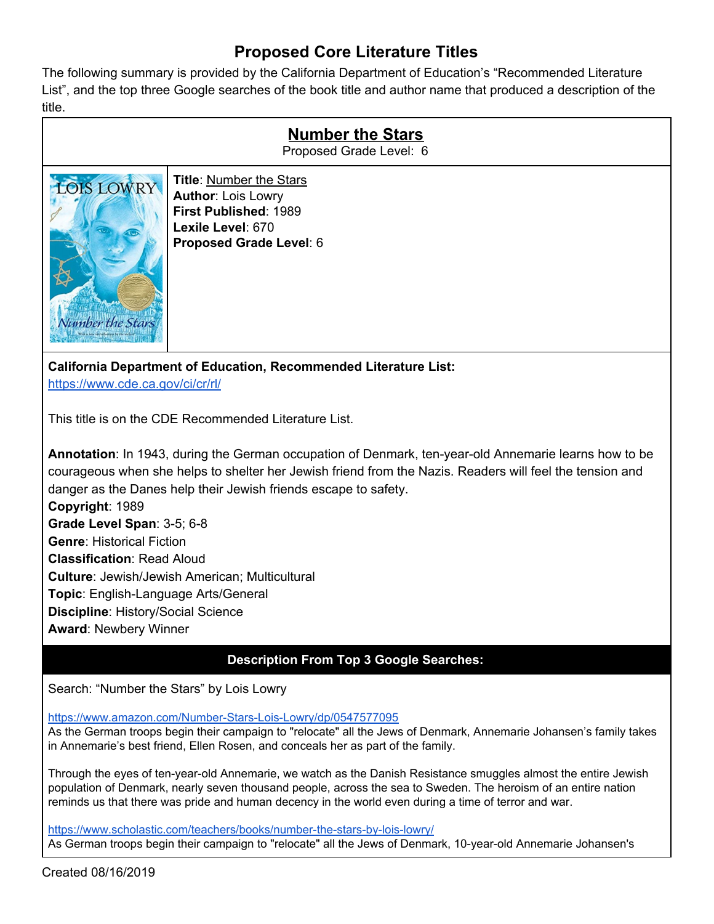## **Proposed Core Literature Titles**

The following summary is provided by the California Department of Education's "Recommended Literature List", and the top three Google searches of the book title and author name that produced a description of the title.

| <b>Number the Stars</b><br>Proposed Grade Level: 6 |                                                                                                                                      |
|----------------------------------------------------|--------------------------------------------------------------------------------------------------------------------------------------|
| <b>DIS LOWRY</b><br>Number the Stars               | <b>Title: Number the Stars</b><br><b>Author: Lois Lowry</b><br>First Published: 1989<br>Lexile Level: 670<br>Proposed Grade Level: 6 |
| ala di Litta della colore il tello<br>в.           |                                                                                                                                      |

**California Department of Education, Recommended Literature List:** <https://www.cde.ca.gov/ci/cr/rl/>

This title is on the CDE Recommended Literature List.

**Annotation**: In 1943, during the German occupation of Denmark, ten-year-old Annemarie learns how to be courageous when she helps to shelter her Jewish friend from the Nazis. Readers will feel the tension and danger as the Danes help their Jewish friends escape to safety. **Copyright**: 1989 **Grade Level Span**: 3-5; 6-8 **Genre**: Historical Fiction **Classification**: Read Aloud **Culture**: Jewish/Jewish American; Multicultural **Topic**: English-Language Arts/General **Discipline**: History/Social Science **Award**: Newbery Winner

## **Description From Top 3 Google Searches:**

Search: "Number the Stars" by Lois Lowry

<https://www.amazon.com/Number-Stars-Lois-Lowry/dp/0547577095>

As the German troops begin their campaign to "relocate" all the Jews of Denmark, Annemarie Johansen's family takes in Annemarie's best friend, Ellen Rosen, and conceals her as part of the family.

Through the eyes of ten-year-old Annemarie, we watch as the Danish Resistance smuggles almost the entire Jewish population of Denmark, nearly seven thousand people, across the sea to Sweden. The heroism of an entire nation reminds us that there was pride and human decency in the world even during a time of terror and war.

<https://www.scholastic.com/teachers/books/number-the-stars-by-lois-lowry/> As German troops begin their campaign to "relocate" all the Jews of Denmark, 10-year-old Annemarie Johansen's